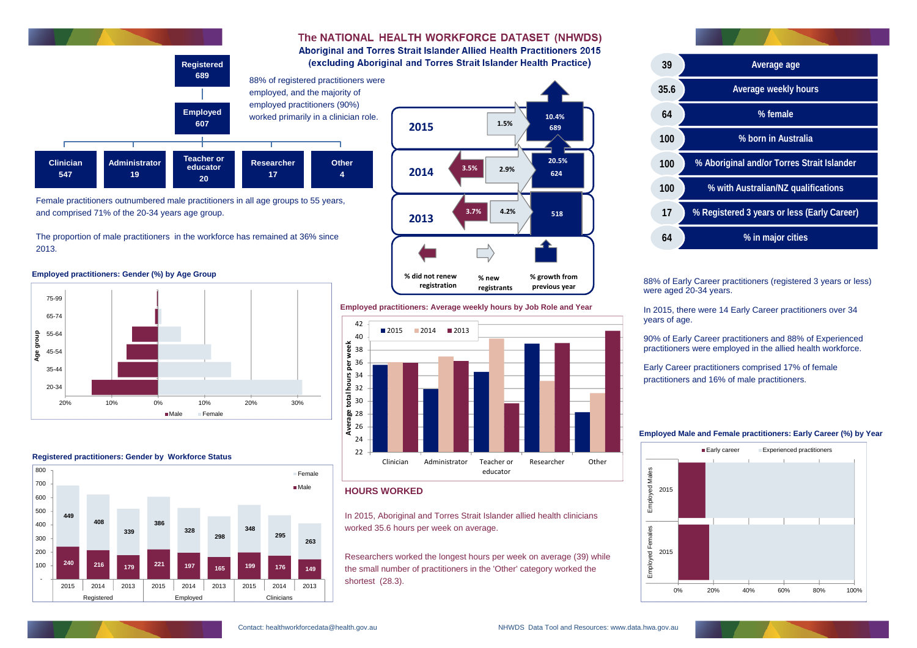88% of Early Career practitioners (registered 3 years or less)

were aged 20-34 years.

In 2015, there were 14 Early Career practitioners over 34

years of age.

90% of Early Career practitioners and 88% of Experienced practitioners were employed in the allied health workforce.

Early Career practitioners comprised 17% of female practitioners and 16% of male practitioners.

# **HOURS WORKED**

In 2015, Aboriginal and Torres Strait Islander allied health clinicians worked 35.6 hours per week on average.

Researchers worked the longest hours per week on average (39) while the small number of practitioners in the 'Other' category worked the shortest (28.3).

Female practitioners outnumbered male practitioners in all age groups to 55 years, and comprised 71% of the 20-34 years age group.

The proportion of male practitioners in the workforce has remained at 36% since 2013.





The NATIONAL HEALTH WORKFORCE DATASET (NHWDS)

**Average age**

**Average weekly hours**

**% female**

**% born in Australia**

**% Aboriginal and/or Torres Strait Islander**



**% with Australian/NZ qualifications**

**% Registered 3 years or less (Early Career)**

**% in major cities**

#### **Employed Male and Female practitioners: Early Career (%) by Year**





**Employed practitioners: Gender (%) by Age Group**







## **Employed practitioners: Average weekly hours by Job Role and Year**

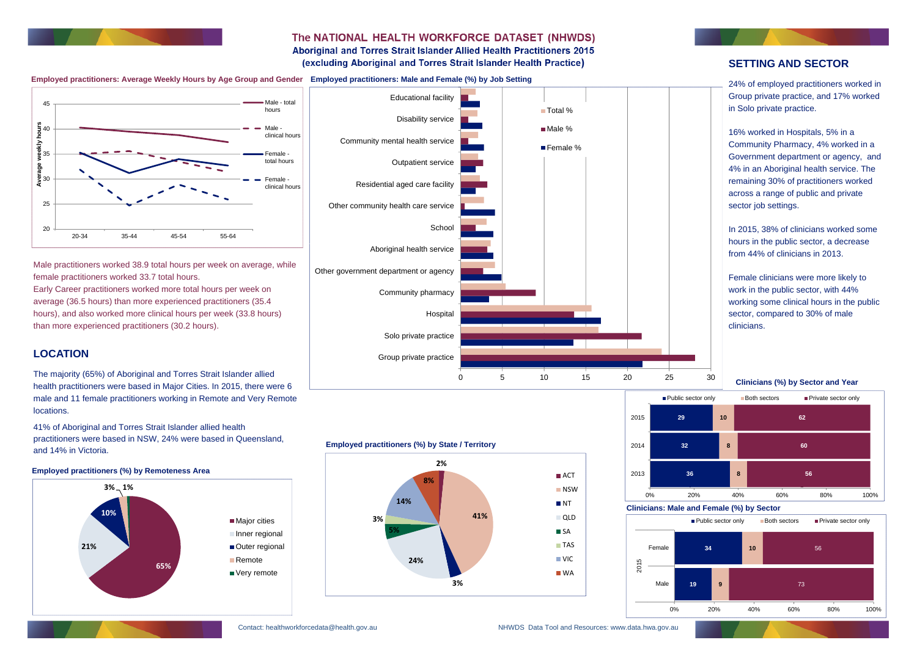

# The NATIONAL HEALTH WORKFORCE DATASET (NHWDS) Aboriginal and Torres Strait Islander Allied Health Practitioners 2015

(excluding Aboriginal and Torres Strait Islander Health Practice)

Male practitioners worked 38.9 total hours per week on average, while female practitioners worked 33.7 total hours.

Early Career practitioners worked more total hours per week on average (36.5 hours) than more experienced practitioners (35.4 hours), and also worked more clinical hours per week (33.8 hours) than more experienced practitioners (30.2 hours).

# **LOCATION**

16% worked in Hospitals, 5% in a Community Pharmacy, 4% worked in a Government department or agency, and 4% in an Aboriginal health service. The remaining 30% of practitioners worked across a range of public and private sector job settings.

The majority (65%) of Aboriginal and Torres Strait Islander allied health practitioners were based in Major Cities. In 2015, there were 6 male and 11 female practitioners working in Remote and Very Remote locations.

41% of Aboriginal and Torres Strait Islander allied health practitioners were based in NSW, 24% were based in Queensland, and 14% in Victoria.

# **SETTING AND SECTOR**

24% of employed practitioners worked in Group private practice, and 17% worked in Solo private practice.

In 2015, 38% of clinicians worked some hours in the public sector, a decrease from 44% of clinicians in 2013.



**Employed practitioners: Average Weekly Hours by Age Group and Gender Employed practitioners: Male and Female (%) by Job Setting**







## **Employed practitioners (%) by Remoteness Area**